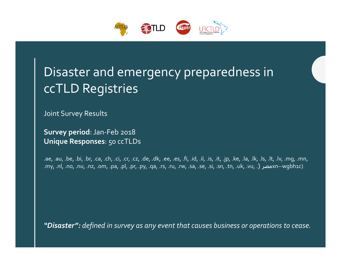

# Disaster and emergency preparedness in ccTLD Registries

Joint Survey Results

**Survey period**:Jan‐Feb 2018 **Unique Responses**: 50 ccTLDs

.ae, .au, .be, .bi, .br, .ca, .ch, .ci, .cr, .cz, .de, .dk, .ee, .es, .fi, .id, .il, .is, .it, .jp, .ke, .la, .lk, .ls, .lt, .lv, .mg, .mn, .my, .nl, .no, .nu, .nz, .om, .pa, .pl, .pr, .py, .qa, .rs, .ru, .rw, .sa, .se, .si, .sn, .tn, .uk, .vu, .) مصرxn‐‐wgbh1c)

*"Disaster": defined in survey as any event that causes business or operations to cease.*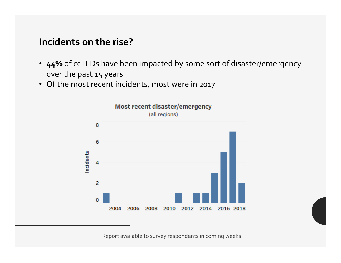#### **Incidents on the rise?**

- **44%** of ccTLDs have been impacted by some sort of disaster/emergency over the past 15 years
- Of the most recent incidents, most were in 2017

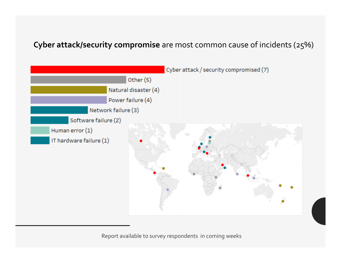#### **Cyber attack/security compromise** are most common cause of incidents (25%)

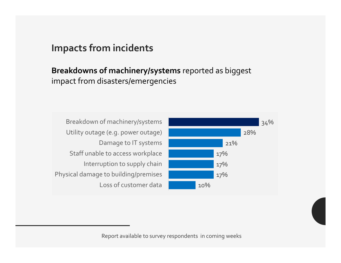#### **Impacts from incidents**

**Breakdowns of machinery/systems** reported as biggest impact from disasters/emergencies

Breakdown of machinery/systems Utility outage (e.g. power outage) Damage to IT systems Staff unable to access workplace Interruption to supply chain Physical damage to building/premises Loss of customer data

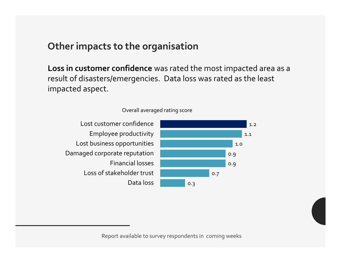#### **Other impacts to the organisation**

**Loss in customer confidence** was rated the most impacted area as <sup>a</sup> result of disasters/emergencies. Data loss was rated as the least impacted aspect.



#### Overall averaged rating score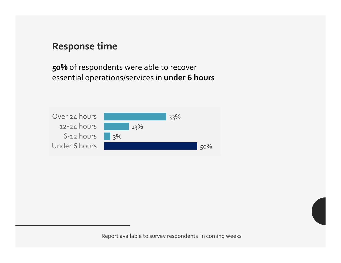### **Response time**

**50%** of respondents were able to recover essential operations/services in **under 6 hours**

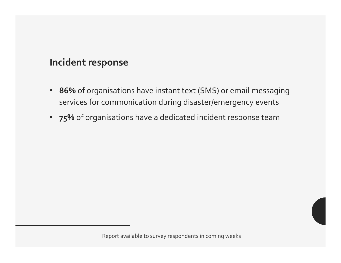## **Incident response**

- • **86%** of organisations have instant text (SMS) or email messaging services for communication during disaster/emergency events
- **75%** of organisations have <sup>a</sup> dedicated incident response team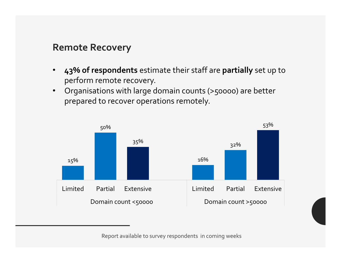#### **Remote Recovery**

- $\bullet$  **43% of respondents** estimate their staff are **partially** set up to perform remote recovery.
- $\bullet$  Organisations with large domain counts (>50000) are better prepared to recover operations remotely.

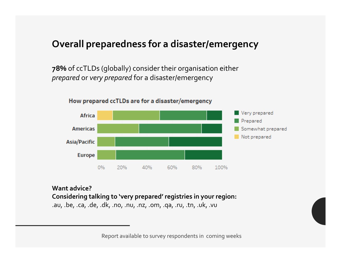### **Overall preparedness for <sup>a</sup> disaster/emergency**

**78%** of ccTLDs (globally) consider their organisation either *prepared* or *very prepared* for <sup>a</sup> disaster/emergency



#### How prepared ccTLDs are for a disaster/emergency

#### **Want advice?Considering talking to 'very prepared' registries in your region:** .au, .be, .ca, .de, .dk, .no, .nu, .nz, .om, .qa, .ru, .tn, .uk, .vu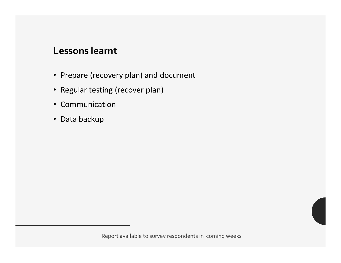#### **Lessons learnt**

- Prepare (recovery plan) and document
- Regular testing (recover plan)
- Communication
- Data backup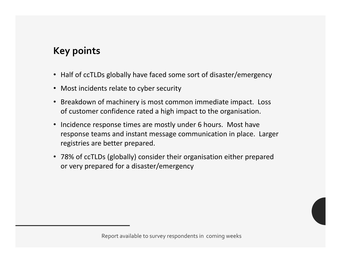# **Key points**

- Half of ccTLDs globally have faced some sort of disaster/emergency
- Most incidents relate to cyber security
- Breakdown of machinery is most common immediate impact. Loss of customer confidence rated a high impact to the organisation.
- Incidence response times are mostly under 6 hours. Most have response teams and instant message communication in place. Larger registries are better prepared.
- 78% of ccTLDs (globally) consider their organisation either prepared or very prepared for a disaster/emergency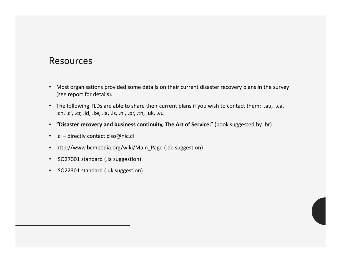#### Resources

- Most organisations provided some details on their current disaster recovery plans in the survey (see report for details).
- The following TLDs are able to share their current plans if you wish to contact them: .au, .ca, .ch, .ci, .cr, .id, .ke, .la, .ls, .nl, .pr, .tn, .uk, .vu
- **"Disaster recovery and business continuity, The Art of Service."** (book suggested by .br)
- .ci directly contact ciso@nic.cl
- http://www.bcmpedia.org/wiki/Main\_Page (.de suggestion)
- ISO27001 standard (.la suggestion)
- ISO22301 standard (.uk suggestion)